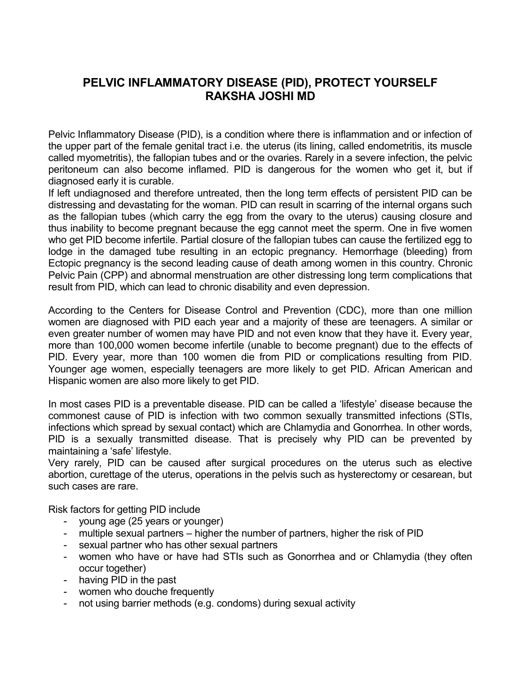## **PELVIC INFLAMMATORY DISEASE (PID), PROTECT YOURSELF RAKSHA JOSHI MD**

Pelvic Inflammatory Disease (PID), is a condition where there is inflammation and or infection of the upper part of the female genital tract i.e. the uterus (its lining, called endometritis, its muscle called myometritis), the fallopian tubes and or the ovaries. Rarely in a severe infection, the pelvic peritoneum can also become inflamed. PID is dangerous for the women who get it, but if diagnosed early it is curable.

If left undiagnosed and therefore untreated, then the long term effects of persistent PID can be distressing and devastating for the woman. PID can result in scarring of the internal organs such as the fallopian tubes (which carry the egg from the ovary to the uterus) causing closure and thus inability to become pregnant because the egg cannot meet the sperm. One in five women who get PID become infertile. Partial closure of the fallopian tubes can cause the fertilized egg to lodge in the damaged tube resulting in an ectopic pregnancy. Hemorrhage (bleeding) from Ectopic pregnancy is the second leading cause of death among women in this country. Chronic Pelvic Pain (CPP) and abnormal menstruation are other distressing long term complications that result from PID, which can lead to chronic disability and even depression.

According to the Centers for Disease Control and Prevention (CDC), more than one million women are diagnosed with PID each year and a majority of these are teenagers. A similar or even greater number of women may have PID and not even know that they have it. Every year, more than 100,000 women become infertile (unable to become pregnant) due to the effects of PID. Every year, more than 100 women die from PID or complications resulting from PID. Younger age women, especially teenagers are more likely to get PID. African American and Hispanic women are also more likely to get PID.

In most cases PID is a preventable disease. PID can be called a 'lifestyle' disease because the commonest cause of PID is infection with two common sexually transmitted infections (STIs, infections which spread by sexual contact) which are Chlamydia and Gonorrhea. In other words, PID is a sexually transmitted disease. That is precisely why PID can be prevented by maintaining a 'safe' lifestyle.

Very rarely, PID can be caused after surgical procedures on the uterus such as elective abortion, curettage of the uterus, operations in the pelvis such as hysterectomy or cesarean, but such cases are rare.

Risk factors for getting PID include

- young age (25 years or younger)
- multiple sexual partners higher the number of partners, higher the risk of PID
- sexual partner who has other sexual partners
- women who have or have had STIs such as Gonorrhea and or Chlamydia (they often occur together)
- having PID in the past
- women who douche frequently
- not using barrier methods (e.g. condoms) during sexual activity